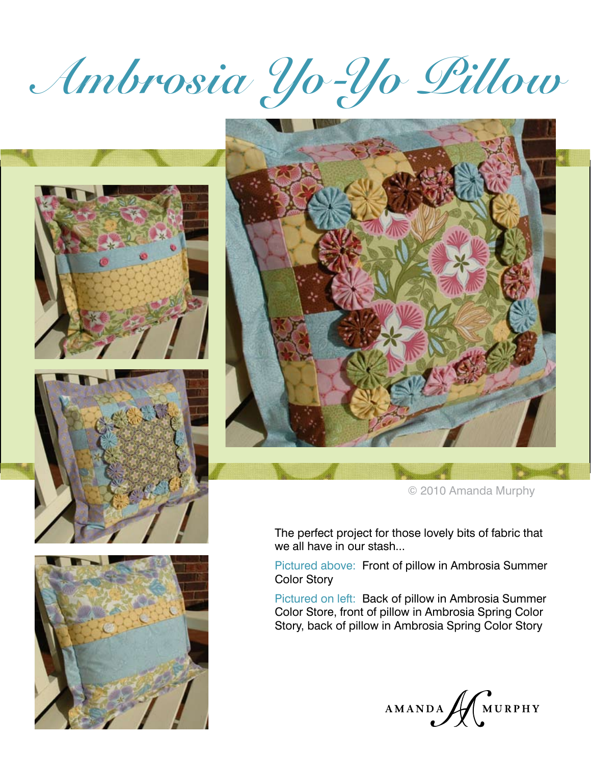# **Ambrosia Yo-Yo Pillow**









© 2010 Amanda Murphy

The perfect project for those lovely bits of fabric that we all have in our stash...

Pictured above: Front of pillow in Ambrosia Summer Color Story

Pictured on left: Back of pillow in Ambrosia Summer Color Store, front of pillow in Ambrosia Spring Color Story, back of pillow in Ambrosia Spring Color Story

AMANDA MURPHY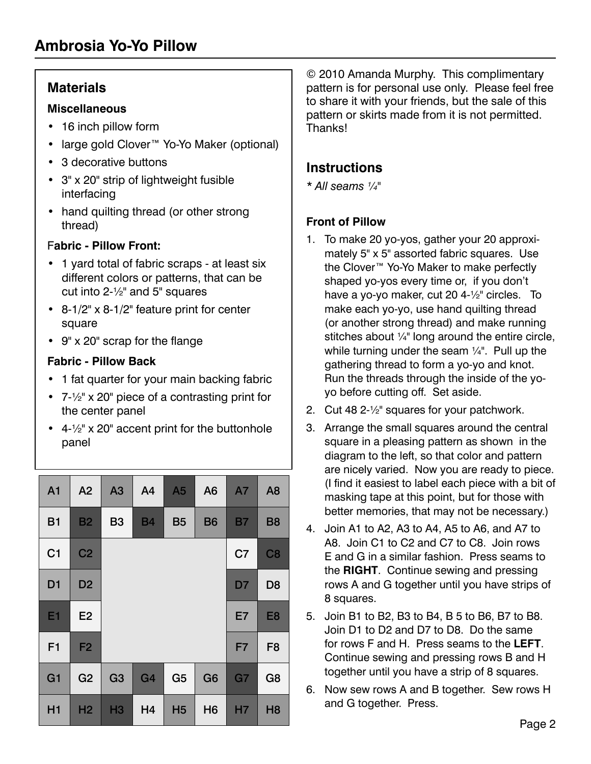# **Materials**

#### **Miscellaneous**

- • 16 inch pillow form
- • large gold Clover™ Yo-Yo Maker (optional)
- 3 decorative buttons
- • 3" x 20" strip of lightweight fusible interfacing
- hand quilting thread (or other strong thread)

### F**abric - Pillow Front:**

- 1 yard total of fabric scraps at least six different colors or patterns, that can be cut into 2-½" and 5" squares
- • 8-1/2" x 8-1/2" feature print for center square
- • 9" x 20" scrap for the flange

### **Fabric - Pillow Back**

- 1 fat quarter for your main backing fabric
- • 7-½" x 20" piece of a contrasting print for the center panel
- $4-\frac{1}{2}$ " x 20" accent print for the buttonhole panel

| A <sub>1</sub> | A2             | A3             | A <sub>4</sub> | A <sub>5</sub> | A <sub>6</sub> | <b>A7</b>      | A <sub>8</sub> |
|----------------|----------------|----------------|----------------|----------------|----------------|----------------|----------------|
| <b>B1</b>      | <b>B2</b>      | <b>B3</b>      | <b>B4</b>      | <b>B5</b>      | <b>B6</b>      | <b>B7</b>      | <b>B8</b>      |
| C <sub>1</sub> | C <sub>2</sub> |                |                |                |                | C <sub>7</sub> | C <sub>8</sub> |
| D <sub>1</sub> | D <sub>2</sub> |                |                |                |                | D7             | D <sub>8</sub> |
| E <sub>1</sub> | E <sub>2</sub> |                |                |                |                | E7             | E <sub>8</sub> |
| F <sub>1</sub> | F <sub>2</sub> |                |                |                |                | F7             | F <sub>8</sub> |
| G <sub>1</sub> | G <sub>2</sub> | G <sub>3</sub> | G <sub>4</sub> | G <sub>5</sub> | G <sub>6</sub> | G7             | G <sub>8</sub> |
| H1             | H <sub>2</sub> | <b>H3</b>      | H4             | H <sub>5</sub> | H <sub>6</sub> | <b>H7</b>      | H <sub>8</sub> |

© 2010 Amanda Murphy. This complimentary pattern is for personal use only. Please feel free to share it with your friends, but the sale of this pattern or skirts made from it is not permitted. Thanks!

# **Instructions**

*\* All seams ¼"*

## **Front of Pillow**

- 1. To make 20 yo-yos, gather your 20 approximately 5" x 5" assorted fabric squares. Use the Clover™ Yo-Yo Maker to make perfectly shaped yo-yos every time or, if you don't have a yo-yo maker, cut 20 4-½" circles. To make each yo-yo, use hand quilting thread (or another strong thread) and make running stitches about  $\frac{1}{4}$ " long around the entire circle, while turning under the seam ¼". Pull up the gathering thread to form a yo-yo and knot. Run the threads through the inside of the yoyo before cutting off. Set aside.
- 2. Cut 48 2-½" squares for your patchwork.
- 3. Arrange the small squares around the central square in a pleasing pattern as shown in the diagram to the left, so that color and pattern are nicely varied. Now you are ready to piece. (I find it easiest to label each piece with a bit of masking tape at this point, but for those with better memories, that may not be necessary.)
- 4. Join A1 to A2, A3 to A4, A5 to A6, and A7 to A8. Join C1 to C2 and C7 to C8. Join rows E and G in a similar fashion. Press seams to the **RIGHT**. Continue sewing and pressing rows A and G together until you have strips of 8 squares.
- 5. Join B1 to B2, B3 to B4, B 5 to B6, B7 to B8. Join D1 to D2 and D7 to D8. Do the same for rows F and H. Press seams to the **LEFT**. Continue sewing and pressing rows B and H together until you have a strip of 8 squares.
- 6. Now sew rows A and B together. Sew rows H and G together. Press.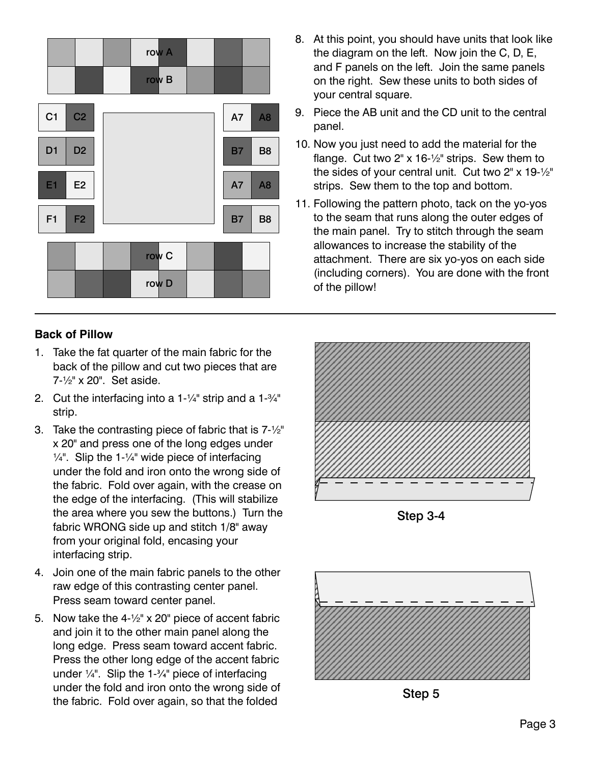

- 8. At this point, you should have units that look like the diagram on the left. Now join the C, D, E, and F panels on the left. Join the same panels on the right. Sew these units to both sides of your central square.
- 9. Piece the AB unit and the CD unit to the central panel.
- 10. Now you just need to add the material for the flange. Cut two 2" x 16-½" strips. Sew them to the sides of your central unit. Cut two 2" x 19-½" strips. Sew them to the top and bottom.
- 11. Following the pattern photo, tack on the yo-yos to the seam that runs along the outer edges of the main panel. Try to stitch through the seam allowances to increase the stability of the attachment. There are six yo-yos on each side (including corners). You are done with the front of the pillow!

#### **Back of Pillow**

- 1. Take the fat quarter of the main fabric for the back of the pillow and cut two pieces that are 7-½" x 20". Set aside.
- 2. Cut the interfacing into a  $1-\frac{1}{4}$ " strip and a  $1-\frac{3}{4}$ " strip.
- 3. Take the contrasting piece of fabric that is  $7-1/2$ " x 20" and press one of the long edges under  $\frac{1}{4}$ ". Slip the 1- $\frac{1}{4}$ " wide piece of interfacing under the fold and iron onto the wrong side of the fabric. Fold over again, with the crease on the edge of the interfacing. (This will stabilize the area where you sew the buttons.) Turn the fabric WRONG side up and stitch 1/8" away from your original fold, encasing your interfacing strip.
- 4. Join one of the main fabric panels to the other raw edge of this contrasting center panel. Press seam toward center panel.
- 5. Now take the  $4-\frac{1}{2}$ " x 20" piece of accent fabric and join it to the other main panel along the long edge. Press seam toward accent fabric. Press the other long edge of the accent fabric under  $\frac{1}{4}$ ". Slip the 1- $\frac{3}{4}$ " piece of interfacing under the fold and iron onto the wrong side of the fabric. Fold over again, so that the folded



Step 3-4



Step 5